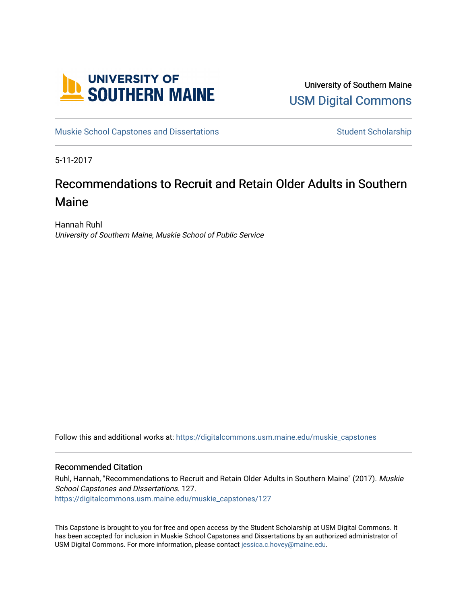

University of Southern Maine [USM Digital Commons](https://digitalcommons.usm.maine.edu/) 

[Muskie School Capstones and Dissertations](https://digitalcommons.usm.maine.edu/muskie_capstones) [Student Scholarship](https://digitalcommons.usm.maine.edu/students) Student Scholarship

5-11-2017

# Recommendations to Recruit and Retain Older Adults in Southern Maine

Hannah Ruhl University of Southern Maine, Muskie School of Public Service

Follow this and additional works at: [https://digitalcommons.usm.maine.edu/muskie\\_capstones](https://digitalcommons.usm.maine.edu/muskie_capstones?utm_source=digitalcommons.usm.maine.edu%2Fmuskie_capstones%2F127&utm_medium=PDF&utm_campaign=PDFCoverPages) 

### Recommended Citation

Ruhl, Hannah, "Recommendations to Recruit and Retain Older Adults in Southern Maine" (2017). Muskie School Capstones and Dissertations. 127. [https://digitalcommons.usm.maine.edu/muskie\\_capstones/127](https://digitalcommons.usm.maine.edu/muskie_capstones/127?utm_source=digitalcommons.usm.maine.edu%2Fmuskie_capstones%2F127&utm_medium=PDF&utm_campaign=PDFCoverPages) 

This Capstone is brought to you for free and open access by the Student Scholarship at USM Digital Commons. It has been accepted for inclusion in Muskie School Capstones and Dissertations by an authorized administrator of USM Digital Commons. For more information, please contact [jessica.c.hovey@maine.edu](mailto:ian.fowler@maine.edu).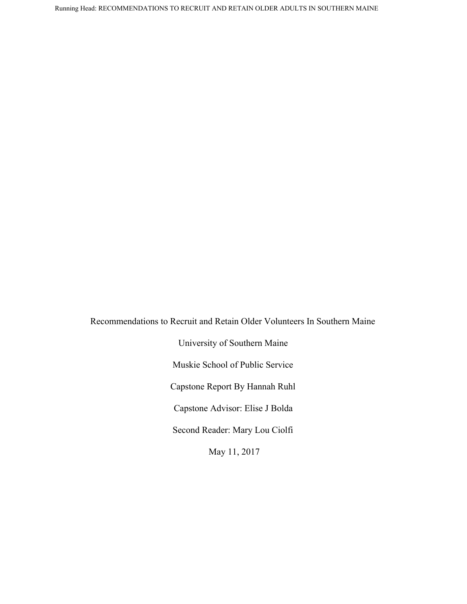Recommendations to Recruit and Retain Older Volunteers In Southern Maine University of Southern Maine Muskie School of Public Service Capstone Report By Hannah Ruhl Capstone Advisor: Elise J Bolda Second Reader: Mary Lou Ciolfi May 11, 2017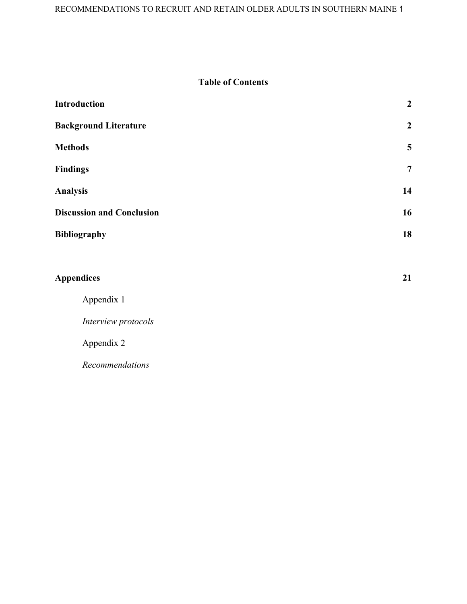# **Table of Contents**

| Introduction                     | $\boldsymbol{2}$        |  |
|----------------------------------|-------------------------|--|
| <b>Background Literature</b>     | $\boldsymbol{2}$        |  |
| <b>Methods</b>                   | $\overline{\mathbf{5}}$ |  |
| <b>Findings</b>                  | $\overline{7}$          |  |
| <b>Analysis</b>                  |                         |  |
| <b>Discussion and Conclusion</b> |                         |  |
| Bibliography                     | 18                      |  |
|                                  |                         |  |
| <b>Appendices</b>                | 21                      |  |
| Appendix 1                       |                         |  |
| Interview protocols              |                         |  |
| Appendix 2                       |                         |  |
| Recommendations                  |                         |  |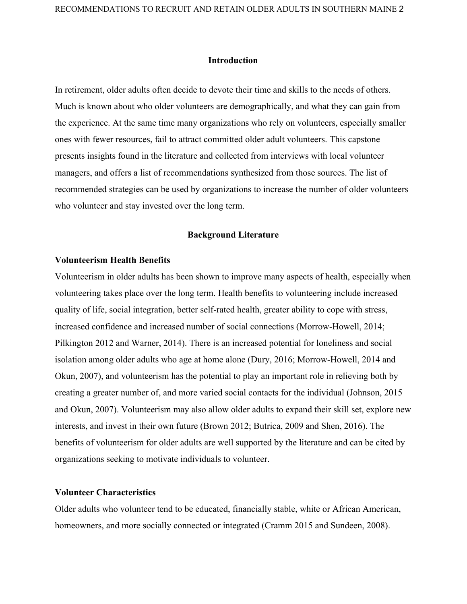### **Introduction**

In retirement, older adults often decide to devote their time and skills to the needs of others. Much is known about who older volunteers are demographically, and what they can gain from the experience. At the same time many organizations who rely on volunteers, especially smaller ones with fewer resources, fail to attract committed older adult volunteers. This capstone presents insights found in the literature and collected from interviews with local volunteer managers, and offers a list of recommendations synthesized from those sources. The list of recommended strategies can be used by organizations to increase the number of older volunteers who volunteer and stay invested over the long term.

### **Background Literature**

### **Volunteerism Health Benefits**

Volunteerism in older adults has been shown to improve many aspects of health, especially when volunteering takes place over the long term. Health benefits to volunteering include increased quality of life, social integration, better self-rated health, greater ability to cope with stress, increased confidence and increased number of social connections (Morrow-Howell, 2014; Pilkington 2012 and Warner, 2014). There is an increased potential for loneliness and social isolation among older adults who age at home alone (Dury, 2016; Morrow-Howell, 2014 and Okun, 2007), and volunteerism has the potential to play an important role in relieving both by creating a greater number of, and more varied social contacts for the individual (Johnson, 2015 and Okun, 2007). Volunteerism may also allow older adults to expand their skill set, explore new interests, and invest in their own future (Brown 2012; Butrica, 2009 and Shen, 2016). The benefits of volunteerism for older adults are well supported by the literature and can be cited by organizations seeking to motivate individuals to volunteer.

# **Volunteer Characteristics**

Older adults who volunteer tend to be educated, financially stable, white or African American, homeowners, and more socially connected or integrated (Cramm 2015 and Sundeen, 2008).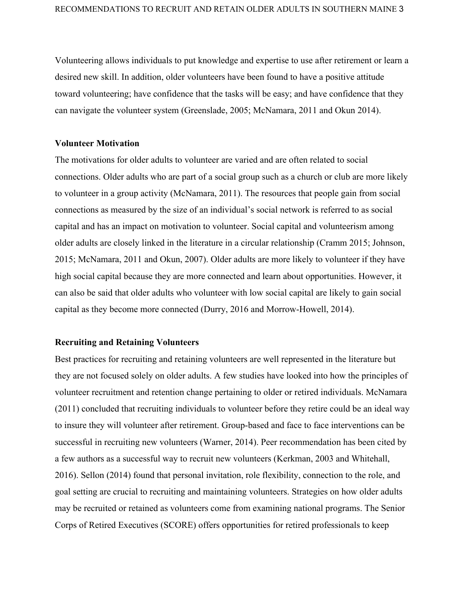Volunteering allows individuals to put knowledge and expertise to use after retirement or learn a desired new skill. In addition, older volunteers have been found to have a positive attitude toward volunteering; have confidence that the tasks will be easy; and have confidence that they can navigate the volunteer system (Greenslade, 2005; McNamara, 2011 and Okun 2014).

### **Volunteer Motivation**

The motivations for older adults to volunteer are varied and are often related to social connections. Older adults who are part of a social group such as a church or club are more likely to volunteer in a group activity (McNamara, 2011). The resources that people gain from social connections as measured by the size of an individual's social network is referred to as social capital and has an impact on motivation to volunteer. Social capital and volunteerism among older adults are closely linked in the literature in a circular relationship (Cramm 2015; Johnson, 2015; McNamara, 2011 and Okun, 2007). Older adults are more likely to volunteer if they have high social capital because they are more connected and learn about opportunities. However, it can also be said that older adults who volunteer with low social capital are likely to gain social capital as they become more connected (Durry, 2016 and Morrow-Howell, 2014).

### **Recruiting and Retaining Volunteers**

Best practices for recruiting and retaining volunteers are well represented in the literature but they are not focused solely on older adults. A few studies have looked into how the principles of volunteer recruitment and retention change pertaining to older or retired individuals. McNamara (2011) concluded that recruiting individuals to volunteer before they retire could be an ideal way to insure they will volunteer after retirement. Group-based and face to face interventions can be successful in recruiting new volunteers (Warner, 2014). Peer recommendation has been cited by a few authors as a successful way to recruit new volunteers (Kerkman, 2003 and Whitehall, 2016). Sellon (2014) found that personal invitation, role flexibility, connection to the role, and goal setting are crucial to recruiting and maintaining volunteers. Strategies on how older adults may be recruited or retained as volunteers come from examining national programs. The Senior Corps of Retired Executives (SCORE) offers opportunities for retired professionals to keep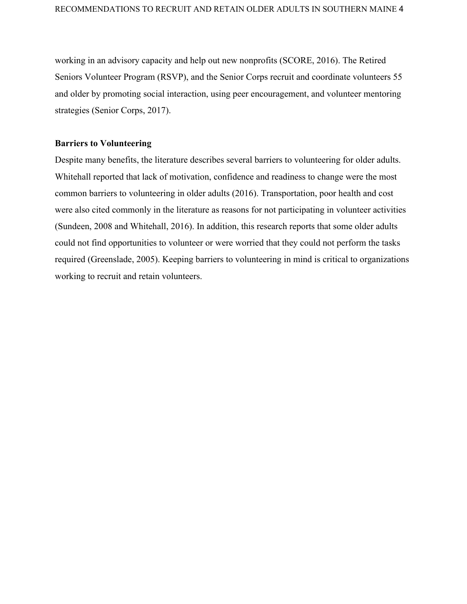working in an advisory capacity and help out new nonprofits (SCORE, 2016). The Retired Seniors Volunteer Program (RSVP), and the Senior Corps recruit and coordinate volunteers 55 and older by promoting social interaction, using peer encouragement, and volunteer mentoring strategies (Senior Corps, 2017).

### **Barriers to Volunteering**

Despite many benefits, the literature describes several barriers to volunteering for older adults. Whitehall reported that lack of motivation, confidence and readiness to change were the most common barriers to volunteering in older adults (2016). Transportation, poor health and cost were also cited commonly in the literature as reasons for not participating in volunteer activities (Sundeen, 2008 and Whitehall, 2016). In addition, this research reports that some older adults could not find opportunities to volunteer or were worried that they could not perform the tasks required (Greenslade, 2005). Keeping barriers to volunteering in mind is critical to organizations working to recruit and retain volunteers.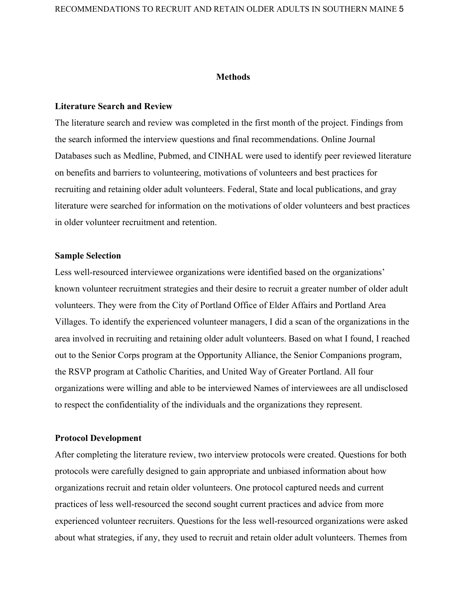### **Methods**

### **Literature Search and Review**

The literature search and review was completed in the first month of the project. Findings from the search informed the interview questions and final recommendations. Online Journal Databases such as Medline, Pubmed, and CINHAL were used to identify peer reviewed literature on benefits and barriers to volunteering, motivations of volunteers and best practices for recruiting and retaining older adult volunteers. Federal, State and local publications, and gray literature were searched for information on the motivations of older volunteers and best practices in older volunteer recruitment and retention.

### **Sample Selection**

Less well-resourced interviewee organizations were identified based on the organizations' known volunteer recruitment strategies and their desire to recruit a greater number of older adult volunteers. They were from the City of Portland Office of Elder Affairs and Portland Area Villages. To identify the experienced volunteer managers, I did a scan of the organizations in the area involved in recruiting and retaining older adult volunteers. Based on what I found, I reached out to the Senior Corps program at the Opportunity Alliance, the Senior Companions program, the RSVP program at Catholic Charities, and United Way of Greater Portland. All four organizations were willing and able to be interviewed Names of interviewees are all undisclosed to respect the confidentiality of the individuals and the organizations they represent.

### **Protocol Development**

After completing the literature review, two interview protocols were created. Questions for both protocols were carefully designed to gain appropriate and unbiased information about how organizations recruit and retain older volunteers. One protocol captured needs and current practices of less well-resourced the second sought current practices and advice from more experienced volunteer recruiters. Questions for the less well-resourced organizations were asked about what strategies, if any, they used to recruit and retain older adult volunteers. Themes from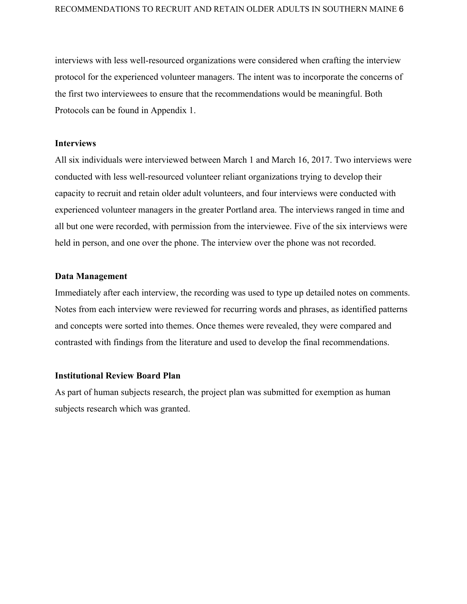interviews with less well-resourced organizations were considered when crafting the interview protocol for the experienced volunteer managers. The intent was to incorporate the concerns of the first two interviewees to ensure that the recommendations would be meaningful. Both Protocols can be found in Appendix 1.

### **Interviews**

All six individuals were interviewed between March 1 and March 16, 2017. Two interviews were conducted with less well-resourced volunteer reliant organizations trying to develop their capacity to recruit and retain older adult volunteers, and four interviews were conducted with experienced volunteer managers in the greater Portland area. The interviews ranged in time and all but one were recorded, with permission from the interviewee. Five of the six interviews were held in person, and one over the phone. The interview over the phone was not recorded.

### **Data Management**

Immediately after each interview, the recording was used to type up detailed notes on comments. Notes from each interview were reviewed for recurring words and phrases, as identified patterns and concepts were sorted into themes. Once themes were revealed, they were compared and contrasted with findings from the literature and used to develop the final recommendations.

### **Institutional Review Board Plan**

As part of human subjects research, the project plan was submitted for exemption as human subjects research which was granted.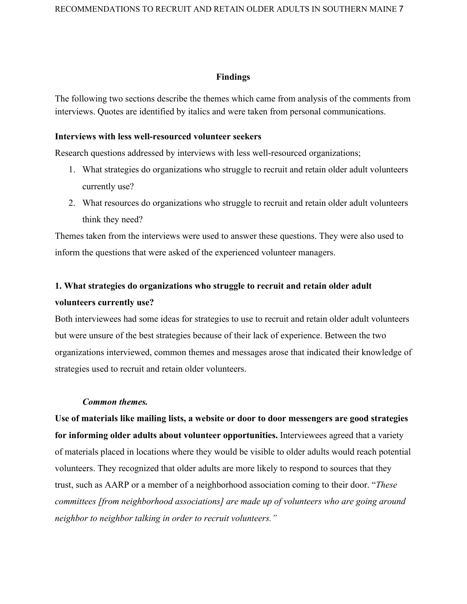### **Findings**

The following two sections describe the themes which came from analysis of the comments from interviews. Quotes are identified by italics and were taken from personal communications.

### **Interviews with less well-resourced volunteer seekers**

Research questions addressed by interviews with less well-resourced organizations;

- 1. What strategies do organizations who struggle to recruit and retain older adult volunteers currently use?
- 2. What resources do organizations who struggle to recruit and retain older adult volunteers think they need?

Themes taken from the interviews were used to answer these questions. They were also used to inform the questions that were asked of the experienced volunteer managers.

# **1. What strategies do organizations who struggle to recruit and retain older adult volunteers currently use?**

Both interviewees had some ideas for strategies to use to recruit and retain older adult volunteers but were unsure of the best strategies because of their lack of experience. Between the two organizations interviewed, common themes and messages arose that indicated their knowledge of strategies used to recruit and retain older volunteers.

### *Common themes.*

**Use of materials like mailing lists, a website or door to door messengers are good strategies for informing older adults about volunteer opportunities.** Interviewees agreed that a variety of materials placed in locations where they would be visible to older adults would reach potential volunteers. They recognized that older adults are more likely to respond to sources that they trust, such as AARP or a member of a neighborhood association coming to their door. "*These committees [from neighborhood associations] are made up of volunteers who are going around neighbor to neighbor talking in order to recruit volunteers."*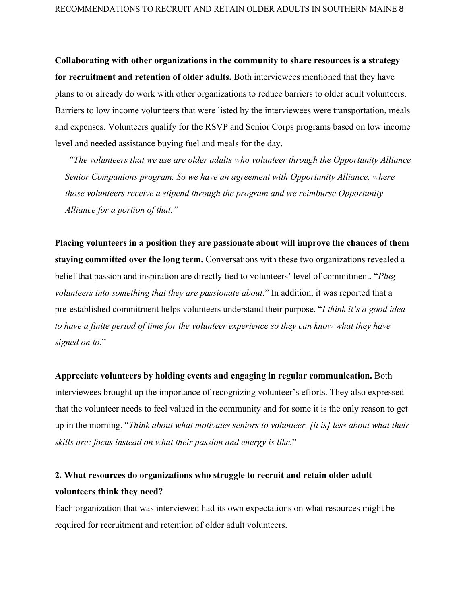**Collaborating with other organizations in the community to share resources is a strategy for recruitment and retention of older adults.** Both interviewees mentioned that they have plans to or already do work with other organizations to reduce barriers to older adult volunteers. Barriers to low income volunteers that were listed by the interviewees were transportation, meals and expenses. Volunteers qualify for the RSVP and Senior Corps programs based on low income level and needed assistance buying fuel and meals for the day.

*"The volunteers that we use are older adults who volunteer through the Opportunity Alliance Senior Companions program. So we have an agreement with Opportunity Alliance, where those volunteers receive a stipend through the program and we reimburse Opportunity Alliance for a portion of that."*

**Placing volunteers in a position they are passionate about will improve the chances of them staying committed over the long term.** Conversations with these two organizations revealed a belief that passion and inspiration are directly tied to volunteers' level of commitment. "*Plug volunteers into something that they are passionate about*." In addition, it was reported that a pre-established commitment helps volunteers understand their purpose. "*I think it's a good idea to have a finite period of time for the volunteer experience so they can know what they have signed on to*."

**Appreciate volunteers by holding events and engaging in regular communication.** Both interviewees brought up the importance of recognizing volunteer's efforts. They also expressed that the volunteer needs to feel valued in the community and for some it is the only reason to get up in the morning. "*Think about what motivates seniors to volunteer, [it is] less about what their skills are; focus instead on what their passion and energy is like.*"

# **2. What resources do organizations who struggle to recruit and retain older adult volunteers think they need?**

Each organization that was interviewed had its own expectations on what resources might be required for recruitment and retention of older adult volunteers.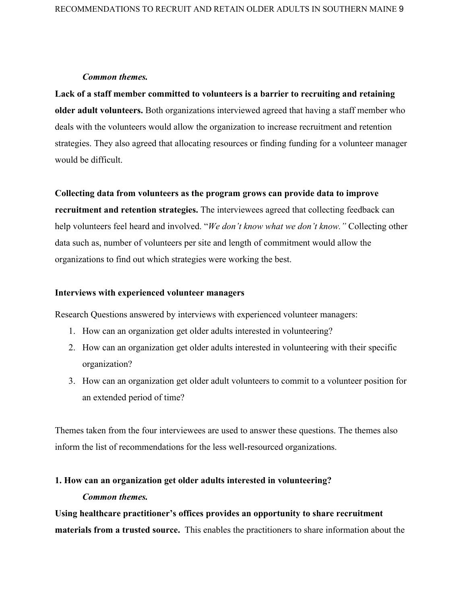### *Common themes.*

**Lack of a staff member committed to volunteers is a barrier to recruiting and retaining older adult volunteers.** Both organizations interviewed agreed that having a staff member who deals with the volunteers would allow the organization to increase recruitment and retention strategies. They also agreed that allocating resources or finding funding for a volunteer manager would be difficult.

### **Collecting data from volunteers as the program grows can provide data to improve**

**recruitment and retention strategies.** The interviewees agreed that collecting feedback can help volunteers feel heard and involved. "*We don't know what we don't know."* Collecting other data such as, number of volunteers per site and length of commitment would allow the organizations to find out which strategies were working the best.

### **Interviews with experienced volunteer managers**

Research Questions answered by interviews with experienced volunteer managers:

- 1. How can an organization get older adults interested in volunteering?
- 2. How can an organization get older adults interested in volunteering with their specific organization?
- 3. How can an organization get older adult volunteers to commit to a volunteer position for an extended period of time?

Themes taken from the four interviewees are used to answer these questions. The themes also inform the list of recommendations for the less well-resourced organizations.

# **1. How can an organization get older adults interested in volunteering?** *Common themes.*

**Using healthcare practitioner's offices provides an opportunity to share recruitment materials from a trusted source.** This enables the practitioners to share information about the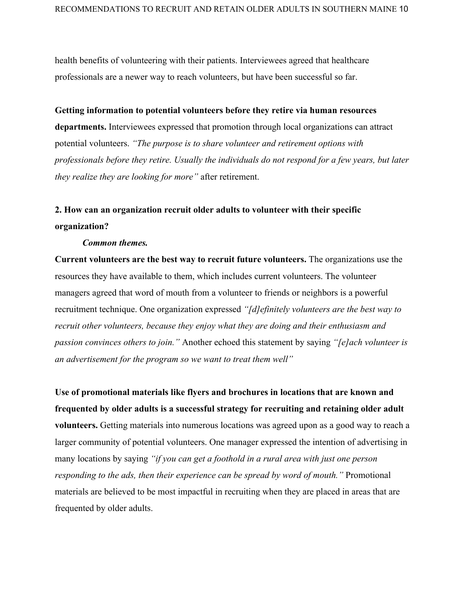health benefits of volunteering with their patients. Interviewees agreed that healthcare professionals are a newer way to reach volunteers, but have been successful so far.

### **Getting information to potential volunteers before they retire via human resources**

**departments.** Interviewees expressed that promotion through local organizations can attract potential volunteers. *"The purpose is to share volunteer and retirement options with professionals before they retire. Usually the individuals do not respond for a few years, but later they realize they are looking for more"* after retirement.

# **2. How can an organization recruit older adults to volunteer with their specific organization?**

### *Common themes.*

**Current volunteers are the best way to recruit future volunteers.** The organizations use the resources they have available to them, which includes current volunteers. The volunteer managers agreed that word of mouth from a volunteer to friends or neighbors is a powerful recruitment technique. One organization expressed *"[d]efinitely volunteers are the best way to recruit other volunteers, because they enjoy what they are doing and their enthusiasm and passion convinces others to join."* Another echoed this statement by saying *"[e]ach volunteer is an advertisement for the program so we want to treat them well"*

**Use of promotional materials like flyers and brochures in locations that are known and frequented by older adults is a successful strategy for recruiting and retaining older adult volunteers.** Getting materials into numerous locations was agreed upon as a good way to reach a larger community of potential volunteers. One manager expressed the intention of advertising in many locations by saying *"if you can get a foothold in a rural area with just one person responding to the ads, then their experience can be spread by word of mouth."* Promotional materials are believed to be most impactful in recruiting when they are placed in areas that are frequented by older adults.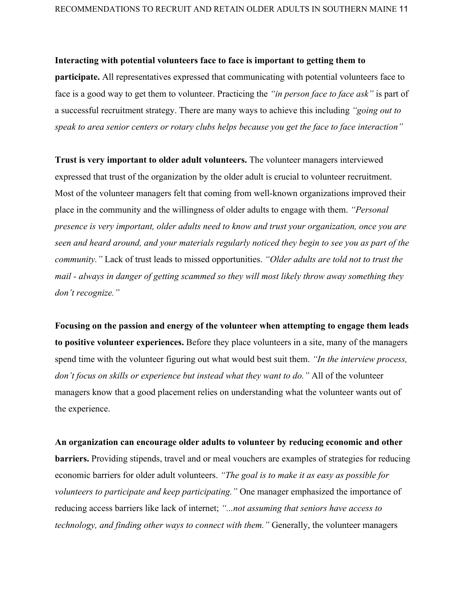### **Interacting with potential volunteers face to face is important to getting them to**

**participate.** All representatives expressed that communicating with potential volunteers face to face is a good way to get them to volunteer. Practicing the *"in person face to face ask"* is part of a successful recruitment strategy. There are many ways to achieve this including *"going out to speak to area senior centers or rotary clubs helps because you get the face to face interaction"*

**Trust is very important to older adult volunteers.** The volunteer managers interviewed expressed that trust of the organization by the older adult is crucial to volunteer recruitment. Most of the volunteer managers felt that coming from well-known organizations improved their place in the community and the willingness of older adults to engage with them. *"Personal presence is very important, older adults need to know and trust your organization, once you are seen and heard around, and your materials regularly noticed they begin to see you as part of the community."* Lack of trust leads to missed opportunities. *"Older adults are told not to trust the mail - always in danger of getting scammed so they will most likely throw away something they don't recognize."*

**Focusing on the passion and energy of the volunteer when attempting to engage them leads to positive volunteer experiences.** Before they place volunteers in a site, many of the managers spend time with the volunteer figuring out what would best suit them. *"In the interview process, don't focus on skills or experience but instead what they want to do."* All of the volunteer managers know that a good placement relies on understanding what the volunteer wants out of the experience.

**An organization can encourage older adults to volunteer by reducing economic and other barriers.** Providing stipends, travel and or meal vouchers are examples of strategies for reducing economic barriers for older adult volunteers. *"The goal is to make it as easy as possible for volunteers to participate and keep participating."* One manager emphasized the importance of reducing access barriers like lack of internet; *"...not assuming that seniors have access to technology, and finding other ways to connect with them."* Generally, the volunteer managers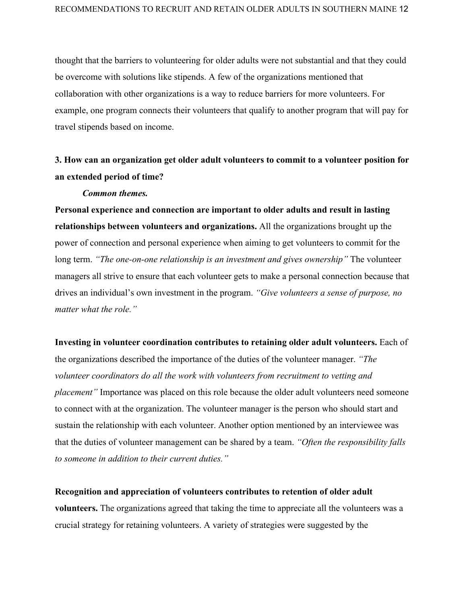thought that the barriers to volunteering for older adults were not substantial and that they could be overcome with solutions like stipends. A few of the organizations mentioned that collaboration with other organizations is a way to reduce barriers for more volunteers. For example, one program connects their volunteers that qualify to another program that will pay for travel stipends based on income.

# **3. How can an organization get older adult volunteers to commit to a volunteer position for an extended period of time?**

### *Common themes.*

**Personal experience and connection are important to older adults and result in lasting relationships between volunteers and organizations.** All the organizations brought up the power of connection and personal experience when aiming to get volunteers to commit for the long term. *"The one-on-one relationship is an investment and gives ownership"* The volunteer managers all strive to ensure that each volunteer gets to make a personal connection because that drives an individual's own investment in the program. *"Give volunteers a sense of purpose, no matter what the role."*

### **Investing in volunteer coordination contributes to retaining older adult volunteers.** Each of

the organizations described the importance of the duties of the volunteer manager. *"The volunteer coordinators do all the work with volunteers from recruitment to vetting and placement"* Importance was placed on this role because the older adult volunteers need someone to connect with at the organization. The volunteer manager is the person who should start and sustain the relationship with each volunteer. Another option mentioned by an interviewee was that the duties of volunteer management can be shared by a team. *"Often the responsibility falls to someone in addition to their current duties."*

**Recognition and appreciation of volunteers contributes to retention of older adult volunteers.** The organizations agreed that taking the time to appreciate all the volunteers was a crucial strategy for retaining volunteers. A variety of strategies were suggested by the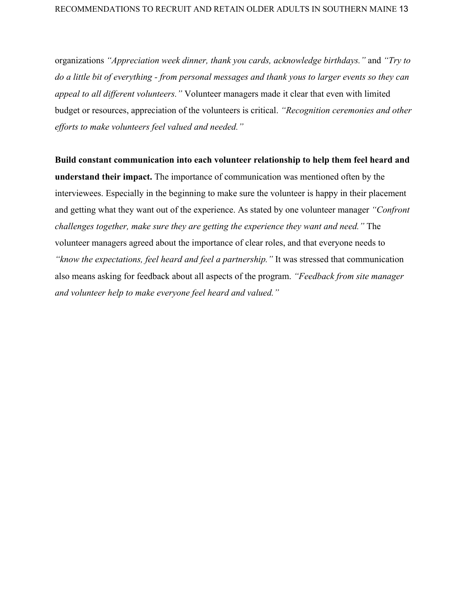organizations *"Appreciation week dinner, thank you cards, acknowledge birthdays."* and *"Try to do a little bit of everything - from personal messages and thank yous to larger events so they can appeal to all different volunteers."* Volunteer managers made it clear that even with limited budget or resources, appreciation of the volunteers is critical. *"Recognition ceremonies and other efforts to make volunteers feel valued and needed."*

**Build constant communication into each volunteer relationship to help them feel heard and understand their impact.** The importance of communication was mentioned often by the interviewees. Especially in the beginning to make sure the volunteer is happy in their placement and getting what they want out of the experience. As stated by one volunteer manager *"Confront challenges together, make sure they are getting the experience they want and need."* The volunteer managers agreed about the importance of clear roles, and that everyone needs to *"know the expectations, feel heard and feel a partnership."* It was stressed that communication also means asking for feedback about all aspects of the program. *"Feedback from site manager and volunteer help to make everyone feel heard and valued."*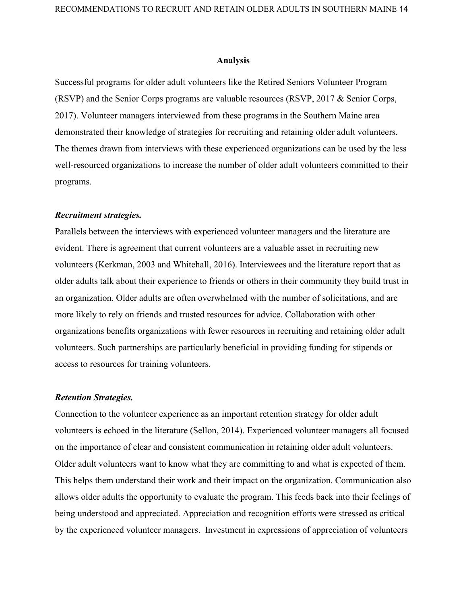### **Analysis**

Successful programs for older adult volunteers like the Retired Seniors Volunteer Program (RSVP) and the Senior Corps programs are valuable resources (RSVP, 2017 & Senior Corps, 2017). Volunteer managers interviewed from these programs in the Southern Maine area demonstrated their knowledge of strategies for recruiting and retaining older adult volunteers. The themes drawn from interviews with these experienced organizations can be used by the less well-resourced organizations to increase the number of older adult volunteers committed to their programs.

### *Recruitment strategies.*

Parallels between the interviews with experienced volunteer managers and the literature are evident. There is agreement that current volunteers are a valuable asset in recruiting new volunteers (Kerkman, 2003 and Whitehall, 2016). Interviewees and the literature report that as older adults talk about their experience to friends or others in their community they build trust in an organization. Older adults are often overwhelmed with the number of solicitations, and are more likely to rely on friends and trusted resources for advice. Collaboration with other organizations benefits organizations with fewer resources in recruiting and retaining older adult volunteers. Such partnerships are particularly beneficial in providing funding for stipends or access to resources for training volunteers.

#### *Retention Strategies.*

Connection to the volunteer experience as an important retention strategy for older adult volunteers is echoed in the literature (Sellon, 2014). Experienced volunteer managers all focused on the importance of clear and consistent communication in retaining older adult volunteers. Older adult volunteers want to know what they are committing to and what is expected of them. This helps them understand their work and their impact on the organization. Communication also allows older adults the opportunity to evaluate the program. This feeds back into their feelings of being understood and appreciated. Appreciation and recognition efforts were stressed as critical by the experienced volunteer managers. Investment in expressions of appreciation of volunteers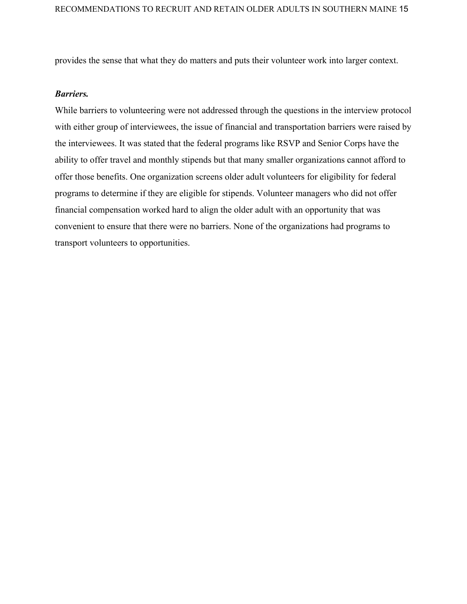provides the sense that what they do matters and puts their volunteer work into larger context.

### *Barriers.*

While barriers to volunteering were not addressed through the questions in the interview protocol with either group of interviewees, the issue of financial and transportation barriers were raised by the interviewees. It was stated that the federal programs like RSVP and Senior Corps have the ability to offer travel and monthly stipends but that many smaller organizations cannot afford to offer those benefits. One organization screens older adult volunteers for eligibility for federal programs to determine if they are eligible for stipends. Volunteer managers who did not offer financial compensation worked hard to align the older adult with an opportunity that was convenient to ensure that there were no barriers. None of the organizations had programs to transport volunteers to opportunities.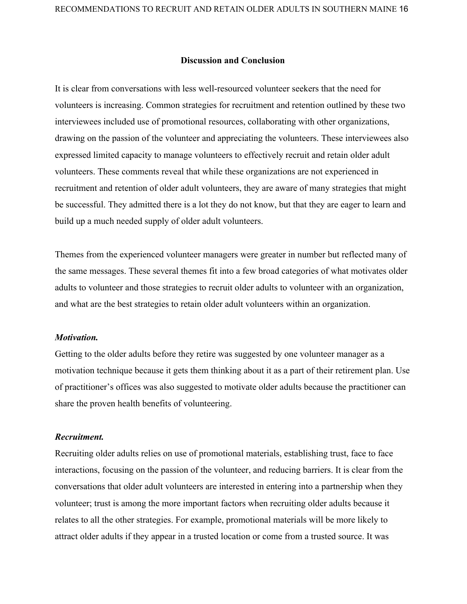### **Discussion and Conclusion**

It is clear from conversations with less well-resourced volunteer seekers that the need for volunteers is increasing. Common strategies for recruitment and retention outlined by these two interviewees included use of promotional resources, collaborating with other organizations, drawing on the passion of the volunteer and appreciating the volunteers. These interviewees also expressed limited capacity to manage volunteers to effectively recruit and retain older adult volunteers. These comments reveal that while these organizations are not experienced in recruitment and retention of older adult volunteers, they are aware of many strategies that might be successful. They admitted there is a lot they do not know, but that they are eager to learn and build up a much needed supply of older adult volunteers.

Themes from the experienced volunteer managers were greater in number but reflected many of the same messages. These several themes fit into a few broad categories of what motivates older adults to volunteer and those strategies to recruit older adults to volunteer with an organization, and what are the best strategies to retain older adult volunteers within an organization.

### *Motivation.*

Getting to the older adults before they retire was suggested by one volunteer manager as a motivation technique because it gets them thinking about it as a part of their retirement plan. Use of practitioner's offices was also suggested to motivate older adults because the practitioner can share the proven health benefits of volunteering.

### *Recruitment.*

Recruiting older adults relies on use of promotional materials, establishing trust, face to face interactions, focusing on the passion of the volunteer, and reducing barriers. It is clear from the conversations that older adult volunteers are interested in entering into a partnership when they volunteer; trust is among the more important factors when recruiting older adults because it relates to all the other strategies. For example, promotional materials will be more likely to attract older adults if they appear in a trusted location or come from a trusted source. It was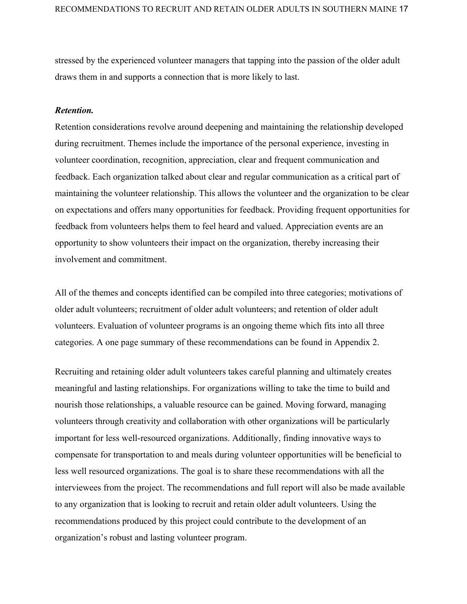stressed by the experienced volunteer managers that tapping into the passion of the older adult draws them in and supports a connection that is more likely to last.

### *Retention.*

Retention considerations revolve around deepening and maintaining the relationship developed during recruitment. Themes include the importance of the personal experience, investing in volunteer coordination, recognition, appreciation, clear and frequent communication and feedback. Each organization talked about clear and regular communication as a critical part of maintaining the volunteer relationship. This allows the volunteer and the organization to be clear on expectations and offers many opportunities for feedback. Providing frequent opportunities for feedback from volunteers helps them to feel heard and valued. Appreciation events are an opportunity to show volunteers their impact on the organization, thereby increasing their involvement and commitment.

All of the themes and concepts identified can be compiled into three categories; motivations of older adult volunteers; recruitment of older adult volunteers; and retention of older adult volunteers. Evaluation of volunteer programs is an ongoing theme which fits into all three categories. A one page summary of these recommendations can be found in Appendix 2.

Recruiting and retaining older adult volunteers takes careful planning and ultimately creates meaningful and lasting relationships. For organizations willing to take the time to build and nourish those relationships, a valuable resource can be gained. Moving forward, managing volunteers through creativity and collaboration with other organizations will be particularly important for less well-resourced organizations. Additionally, finding innovative ways to compensate for transportation to and meals during volunteer opportunities will be beneficial to less well resourced organizations. The goal is to share these recommendations with all the interviewees from the project. The recommendations and full report will also be made available to any organization that is looking to recruit and retain older adult volunteers. Using the recommendations produced by this project could contribute to the development of an organization's robust and lasting volunteer program.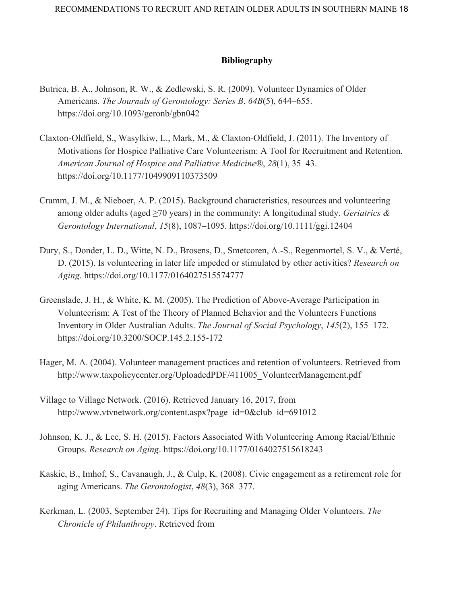# **Bibliography**

- Butrica, B. A., Johnson, R. W., & Zedlewski, S. R. (2009). Volunteer Dynamics of Older Americans. *The Journals of Gerontology: Series B*, *64B*(5), 644–655. https://doi.org/10.1093/geronb/gbn042
- Claxton-Oldfield, S., Wasylkiw, L., Mark, M., & Claxton-Oldfield, J. (2011). The Inventory of Motivations for Hospice Palliative Care Volunteerism: A Tool for Recruitment and Retention. *American Journal of Hospice and Palliative Medicine®*, *28*(1), 35–43. https://doi.org/10.1177/1049909110373509
- Cramm, J. M., & Nieboer, A. P. (2015). Background characteristics, resources and volunteering among older adults (aged ≥70 years) in the community: A longitudinal study. *Geriatrics & Gerontology International*, *15*(8), 1087–1095. https://doi.org/10.1111/ggi.12404
- Dury, S., Donder, L. D., Witte, N. D., Brosens, D., Smetcoren, A.-S., Regenmortel, S. V., & Verté, D. (2015). Is volunteering in later life impeded or stimulated by other activities? *Research on Aging*. https://doi.org/10.1177/0164027515574777
- Greenslade, J. H., & White, K. M. (2005). The Prediction of Above-Average Participation in Volunteerism: A Test of the Theory of Planned Behavior and the Volunteers Functions Inventory in Older Australian Adults. *The Journal of Social Psychology*, *145*(2), 155–172. https://doi.org/10.3200/SOCP.145.2.155-172
- Hager, M. A. (2004). Volunteer management practices and retention of volunteers. Retrieved from http://www.taxpolicycenter.org/UploadedPDF/411005\_VolunteerManagement.pdf
- Village to Village Network. (2016). Retrieved January 16, 2017, from http://www.vtvnetwork.org/content.aspx?page\_id=0&club\_id=691012
- Johnson, K. J., & Lee, S. H. (2015). Factors Associated With Volunteering Among Racial/Ethnic Groups. *Research on Aging*. https://doi.org/10.1177/0164027515618243
- Kaskie, B., Imhof, S., Cavanaugh, J., & Culp, K. (2008). Civic engagement as a retirement role for aging Americans. *The Gerontologist*, *48*(3), 368–377.
- Kerkman, L. (2003, September 24). Tips for Recruiting and Managing Older Volunteers. *The Chronicle of Philanthropy*. Retrieved from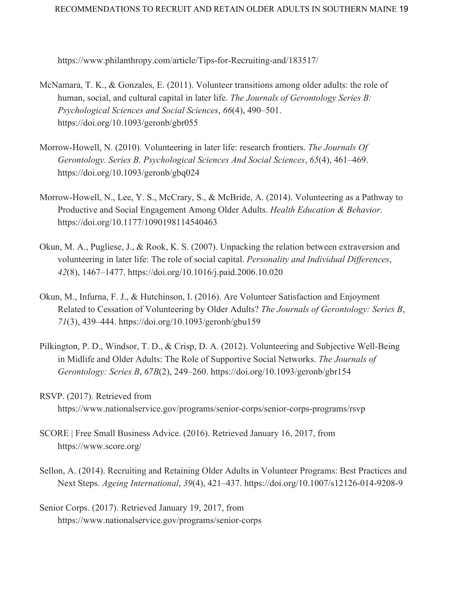https://www.philanthropy.com/article/Tips-for-Recruiting-and/183517/

- McNamara, T. K., & Gonzales, E. (2011). Volunteer transitions among older adults: the role of human, social, and cultural capital in later life. *The Journals of Gerontology Series B: Psychological Sciences and Social Sciences*, *66*(4), 490–501. https://doi.org/10.1093/geronb/gbr055
- Morrow-Howell, N. (2010). Volunteering in later life: research frontiers. *The Journals Of Gerontology. Series B, Psychological Sciences And Social Sciences*, *65*(4), 461–469. https://doi.org/10.1093/geronb/gbq024
- Morrow-Howell, N., Lee, Y. S., McCrary, S., & McBride, A. (2014). Volunteering as a Pathway to Productive and Social Engagement Among Older Adults. *Health Education & Behavior*. https://doi.org/10.1177/1090198114540463
- Okun, M. A., Pugliese, J., & Rook, K. S. (2007). Unpacking the relation between extraversion and volunteering in later life: The role of social capital. *Personality and Individual Differences*, *42*(8), 1467–1477. https://doi.org/10.1016/j.paid.2006.10.020
- Okun, M., Infurna, F. J., & Hutchinson, I. (2016). Are Volunteer Satisfaction and Enjoyment Related to Cessation of Volunteering by Older Adults? *The Journals of Gerontology: Series B*, *71*(3), 439–444. https://doi.org/10.1093/geronb/gbu159
- Pilkington, P. D., Windsor, T. D., & Crisp, D. A. (2012). Volunteering and Subjective Well-Being in Midlife and Older Adults: The Role of Supportive Social Networks. *The Journals of Gerontology: Series B*, *67B*(2), 249–260. https://doi.org/10.1093/geronb/gbr154
- RSVP. (2017). Retrieved from https://www.nationalservice.gov/programs/senior-corps/senior-corps-programs/rsvp
- SCORE | Free Small Business Advice. (2016). Retrieved January 16, 2017, from https://www.score.org/
- Sellon, A. (2014). Recruiting and Retaining Older Adults in Volunteer Programs: Best Practices and Next Steps. *Ageing International*, *39*(4), 421–437. https://doi.org/10.1007/s12126-014-9208-9
- Senior Corps. (2017). Retrieved January 19, 2017, from https://www.nationalservice.gov/programs/senior-corps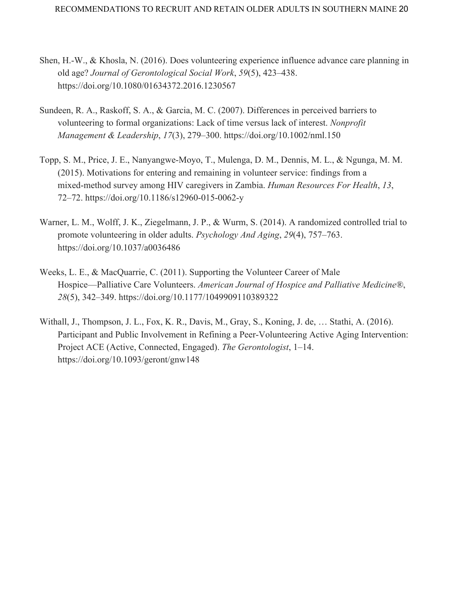- Shen, H.-W., & Khosla, N. (2016). Does volunteering experience influence advance care planning in old age? *Journal of Gerontological Social Work*, *59*(5), 423–438. https://doi.org/10.1080/01634372.2016.1230567
- Sundeen, R. A., Raskoff, S. A., & Garcia, M. C. (2007). Differences in perceived barriers to volunteering to formal organizations: Lack of time versus lack of interest. *Nonprofit Management & Leadership*, *17*(3), 279–300. https://doi.org/10.1002/nml.150
- Topp, S. M., Price, J. E., Nanyangwe-Moyo, T., Mulenga, D. M., Dennis, M. L., & Ngunga, M. M. (2015). Motivations for entering and remaining in volunteer service: findings from a mixed-method survey among HIV caregivers in Zambia. *Human Resources For Health*, *13*, 72–72. https://doi.org/10.1186/s12960-015-0062-y
- Warner, L. M., Wolff, J. K., Ziegelmann, J. P., & Wurm, S. (2014). A randomized controlled trial to promote volunteering in older adults. *Psychology And Aging*, *29*(4), 757–763. https://doi.org/10.1037/a0036486
- Weeks, L. E., & MacQuarrie, C. (2011). Supporting the Volunteer Career of Male Hospice—Palliative Care Volunteers. *American Journal of Hospice and Palliative Medicine®*, *28*(5), 342–349. https://doi.org/10.1177/1049909110389322
- Withall, J., Thompson, J. L., Fox, K. R., Davis, M., Gray, S., Koning, J. de, … Stathi, A. (2016). Participant and Public Involvement in Refining a Peer-Volunteering Active Aging Intervention: Project ACE (Active, Connected, Engaged). *The Gerontologist*, 1–14. https://doi.org[/10.1093/geront/gnw148](http://dx.doi.org/10.1093/geront/gnw148)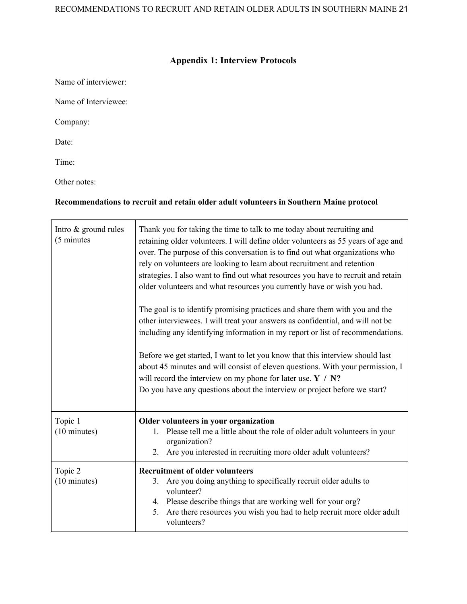# **Appendix 1: Interview Protocols**

Name of interviewer: Name of Interviewee: Company: Date: Time:

Other notes:

# **Recommendations to recruit and retain older adult volunteers in Southern Maine protocol**

| Intro & ground rules<br>(5 minutes) | Thank you for taking the time to talk to me today about recruiting and<br>retaining older volunteers. I will define older volunteers as 55 years of age and<br>over. The purpose of this conversation is to find out what organizations who<br>rely on volunteers are looking to learn about recruitment and retention<br>strategies. I also want to find out what resources you have to recruit and retain<br>older volunteers and what resources you currently have or wish you had. |
|-------------------------------------|----------------------------------------------------------------------------------------------------------------------------------------------------------------------------------------------------------------------------------------------------------------------------------------------------------------------------------------------------------------------------------------------------------------------------------------------------------------------------------------|
|                                     | The goal is to identify promising practices and share them with you and the<br>other interviewees. I will treat your answers as confidential, and will not be<br>including any identifying information in my report or list of recommendations.                                                                                                                                                                                                                                        |
|                                     | Before we get started, I want to let you know that this interview should last<br>about 45 minutes and will consist of eleven questions. With your permission, I<br>will record the interview on my phone for later use. $Y / N$ ?<br>Do you have any questions about the interview or project before we start?                                                                                                                                                                         |
| Topic 1<br>(10 minutes)             | Older volunteers in your organization<br>Please tell me a little about the role of older adult volunteers in your<br>1.<br>organization?<br>Are you interested in recruiting more older adult volunteers?<br>2.                                                                                                                                                                                                                                                                        |
| Topic 2<br>$(10 \text{ minutes})$   | <b>Recruitment of older volunteers</b><br>Are you doing anything to specifically recruit older adults to<br>3.<br>volunteer?<br>4. Please describe things that are working well for your org?<br>Are there resources you wish you had to help recruit more older adult<br>5.<br>volunteers?                                                                                                                                                                                            |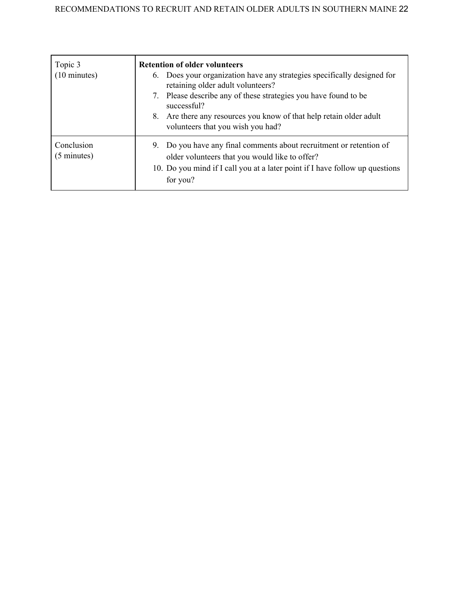| Topic 3<br>$(10 \text{ minutes})$   | <b>Retention of older volunteers</b><br>6. Does your organization have any strategies specifically designed for<br>retaining older adult volunteers?<br>Please describe any of these strategies you have found to be<br>7.<br>successful?<br>Are there any resources you know of that help retain older adult<br>8.<br>volunteers that you wish you had? |
|-------------------------------------|----------------------------------------------------------------------------------------------------------------------------------------------------------------------------------------------------------------------------------------------------------------------------------------------------------------------------------------------------------|
| Conclusion<br>$(5 \text{ minutes})$ | 9. Do you have any final comments about recruitment or retention of<br>older volunteers that you would like to offer?<br>10. Do you mind if I call you at a later point if I have follow up questions<br>for you?                                                                                                                                        |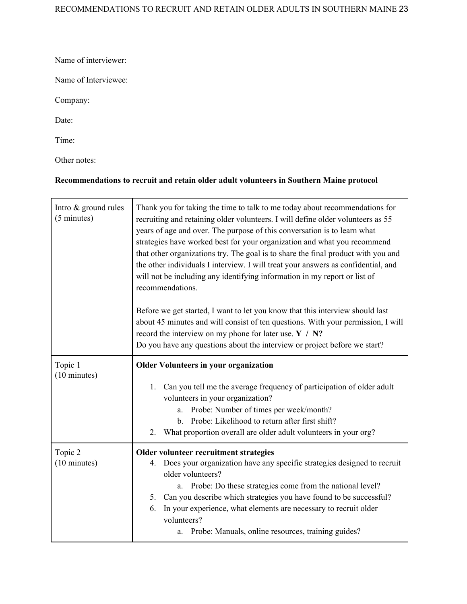Name of interviewer:

Name of Interviewee:

Company:

Date:

Time:

Other notes:

# **Recommendations to recruit and retain older adult volunteers in Southern Maine protocol**

| Intro & ground rules<br>(5 minutes) | Thank you for taking the time to talk to me today about recommendations for<br>recruiting and retaining older volunteers. I will define older volunteers as 55<br>years of age and over. The purpose of this conversation is to learn what<br>strategies have worked best for your organization and what you recommend<br>that other organizations try. The goal is to share the final product with you and<br>the other individuals I interview. I will treat your answers as confidential, and<br>will not be including any identifying information in my report or list of<br>recommendations. |
|-------------------------------------|---------------------------------------------------------------------------------------------------------------------------------------------------------------------------------------------------------------------------------------------------------------------------------------------------------------------------------------------------------------------------------------------------------------------------------------------------------------------------------------------------------------------------------------------------------------------------------------------------|
|                                     | Before we get started, I want to let you know that this interview should last<br>about 45 minutes and will consist of ten questions. With your permission, I will<br>record the interview on my phone for later use. $Y / N$ ?<br>Do you have any questions about the interview or project before we start?                                                                                                                                                                                                                                                                                       |
| Topic 1                             | <b>Older Volunteers in your organization</b>                                                                                                                                                                                                                                                                                                                                                                                                                                                                                                                                                      |
| (10 minutes)                        | Can you tell me the average frequency of participation of older adult<br>$1_{-}$<br>volunteers in your organization?<br>Probe: Number of times per week/month?<br>a.<br>Probe: Likelihood to return after first shift?<br>$\mathbf{b}$ .<br>What proportion overall are older adult volunteers in your org?<br>2.                                                                                                                                                                                                                                                                                 |
| Topic 2                             | Older volunteer recruitment strategies                                                                                                                                                                                                                                                                                                                                                                                                                                                                                                                                                            |
| (10 minutes)                        | Does your organization have any specific strategies designed to recruit<br>4.<br>older volunteers?<br>Probe: Do these strategies come from the national level?<br>a.                                                                                                                                                                                                                                                                                                                                                                                                                              |
|                                     | 5. Can you describe which strategies you have found to be successful?                                                                                                                                                                                                                                                                                                                                                                                                                                                                                                                             |
|                                     | In your experience, what elements are necessary to recruit older<br>6.<br>volunteers?                                                                                                                                                                                                                                                                                                                                                                                                                                                                                                             |
|                                     | Probe: Manuals, online resources, training guides?<br>a.                                                                                                                                                                                                                                                                                                                                                                                                                                                                                                                                          |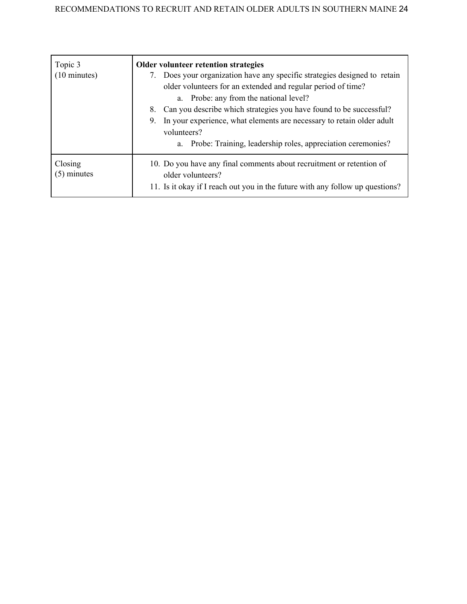| Topic 3<br>$(10 \text{ minutes})$ | <b>Older volunteer retention strategies</b><br>7. Does your organization have any specific strategies designed to retain<br>older volunteers for an extended and regular period of time?<br>a. Probe: any from the national level?<br>8. Can you describe which strategies you have found to be successful?<br>In your experience, what elements are necessary to retain older adult<br>9.<br>volunteers?<br>a. Probe: Training, leadership roles, appreciation ceremonies? |
|-----------------------------------|-----------------------------------------------------------------------------------------------------------------------------------------------------------------------------------------------------------------------------------------------------------------------------------------------------------------------------------------------------------------------------------------------------------------------------------------------------------------------------|
| Closing<br>$(5)$ minutes          | 10. Do you have any final comments about recruitment or retention of<br>older volunteers?<br>11. Is it okay if I reach out you in the future with any follow up questions?                                                                                                                                                                                                                                                                                                  |